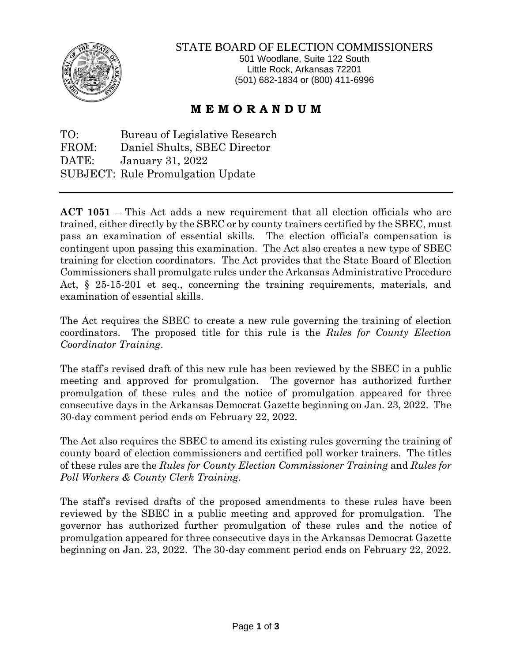

## STATE BOARD OF ELECTION COMMISSIONERS

501 Woodlane, Suite 122 South Little Rock, Arkansas 72201 (501) 682-1834 or (800) 411-6996

## **M E M O R A N D U M**

TO: Bureau of Legislative Research FROM: Daniel Shults, SBEC Director DATE: January 31, 2022 SUBJECT: Rule Promulgation Update

**ACT 1051** – This Act adds a new requirement that all election officials who are trained, either directly by the SBEC or by county trainers certified by the SBEC, must pass an examination of essential skills. The election official's compensation is contingent upon passing this examination. The Act also creates a new type of SBEC training for election coordinators. The Act provides that the State Board of Election Commissioners shall promulgate rules under the Arkansas Administrative Procedure Act, § 25-15-201 et seq., concerning the training requirements, materials, and examination of essential skills.

The Act requires the SBEC to create a new rule governing the training of election coordinators. The proposed title for this rule is the *Rules for County Election Coordinator Training*.

The staff's revised draft of this new rule has been reviewed by the SBEC in a public meeting and approved for promulgation. The governor has authorized further promulgation of these rules and the notice of promulgation appeared for three consecutive days in the Arkansas Democrat Gazette beginning on Jan. 23, 2022. The 30-day comment period ends on February 22, 2022.

The Act also requires the SBEC to amend its existing rules governing the training of county board of election commissioners and certified poll worker trainers. The titles of these rules are the *Rules for County Election Commissioner Training* and *Rules for Poll Workers & County Clerk Training*.

The staff's revised drafts of the proposed amendments to these rules have been reviewed by the SBEC in a public meeting and approved for promulgation. The governor has authorized further promulgation of these rules and the notice of promulgation appeared for three consecutive days in the Arkansas Democrat Gazette beginning on Jan. 23, 2022. The 30-day comment period ends on February 22, 2022.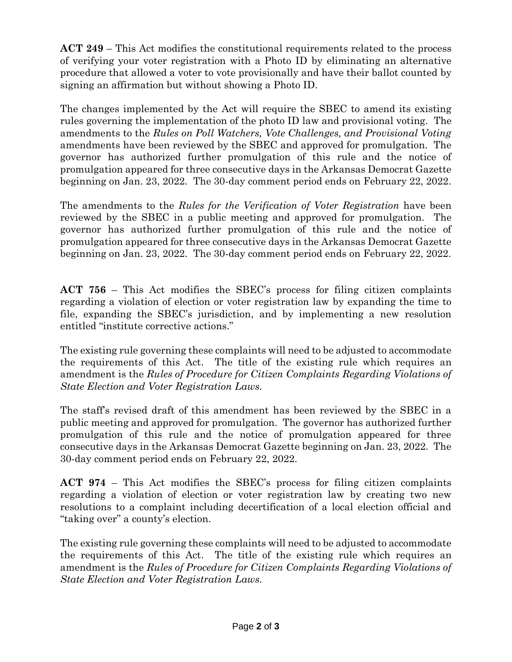**ACT 249** – This Act modifies the constitutional requirements related to the process of verifying your voter registration with a Photo ID by eliminating an alternative procedure that allowed a voter to vote provisionally and have their ballot counted by signing an affirmation but without showing a Photo ID.

The changes implemented by the Act will require the SBEC to amend its existing rules governing the implementation of the photo ID law and provisional voting. The amendments to the *Rules on Poll Watchers, Vote Challenges, and Provisional Voting* amendments have been reviewed by the SBEC and approved for promulgation. The governor has authorized further promulgation of this rule and the notice of promulgation appeared for three consecutive days in the Arkansas Democrat Gazette beginning on Jan. 23, 2022. The 30-day comment period ends on February 22, 2022.

The amendments to the *Rules for the Verification of Voter Registration* have been reviewed by the SBEC in a public meeting and approved for promulgation. The governor has authorized further promulgation of this rule and the notice of promulgation appeared for three consecutive days in the Arkansas Democrat Gazette beginning on Jan. 23, 2022. The 30-day comment period ends on February 22, 2022.

**ACT 756** – This Act modifies the SBEC's process for filing citizen complaints regarding a violation of election or voter registration law by expanding the time to file, expanding the SBEC's jurisdiction, and by implementing a new resolution entitled "institute corrective actions."

The existing rule governing these complaints will need to be adjusted to accommodate the requirements of this Act. The title of the existing rule which requires an amendment is the *Rules of Procedure for Citizen Complaints Regarding Violations of State Election and Voter Registration Laws.* 

The staff's revised draft of this amendment has been reviewed by the SBEC in a public meeting and approved for promulgation. The governor has authorized further promulgation of this rule and the notice of promulgation appeared for three consecutive days in the Arkansas Democrat Gazette beginning on Jan. 23, 2022. The 30-day comment period ends on February 22, 2022.

**ACT 974** – This Act modifies the SBEC's process for filing citizen complaints regarding a violation of election or voter registration law by creating two new resolutions to a complaint including decertification of a local election official and "taking over" a county's election.

The existing rule governing these complaints will need to be adjusted to accommodate the requirements of this Act. The title of the existing rule which requires an amendment is the *Rules of Procedure for Citizen Complaints Regarding Violations of State Election and Voter Registration Laws.*